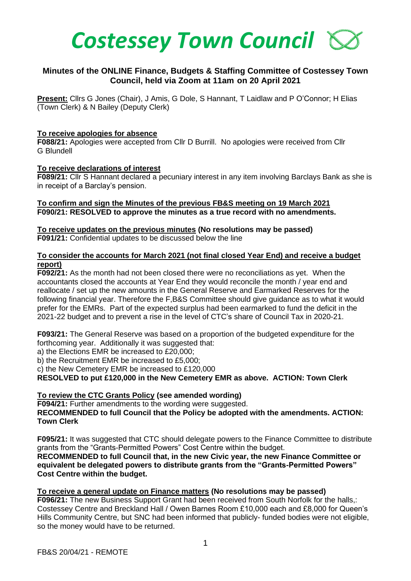

# **Minutes of the ONLINE Finance, Budgets & Staffing Committee of Costessey Town Council, held via Zoom at 11am on 20 April 2021**

**Present:** Cllrs G Jones (Chair), J Amis, G Dole, S Hannant, T Laidlaw and P O'Connor; H Elias (Town Clerk) & N Bailey (Deputy Clerk)

#### **To receive apologies for absence**

**F088/21:** Apologies were accepted from Cllr D Burrill. No apologies were received from Cllr G Blundell

#### **To receive declarations of interest**

**F089/21:** Cllr S Hannant declared a pecuniary interest in any item involving Barclays Bank as she is in receipt of a Barclay's pension.

#### **To confirm and sign the Minutes of the previous FB&S meeting on 19 March 2021 F090/21: RESOLVED to approve the minutes as a true record with no amendments.**

#### **To receive updates on the previous minutes (No resolutions may be passed) F091/21:** Confidential updates to be discussed below the line

### **To consider the accounts for March 2021 (not final closed Year End) and receive a budget report)**

**F092/21:** As the month had not been closed there were no reconciliations as yet.When the accountants closed the accounts at Year End they would reconcile the month / year end and reallocate / set up the new amounts in the General Reserve and Earmarked Reserves for the following financial year. Therefore the F,B&S Committee should give guidance as to what it would prefer for the EMRs. Part of the expected surplus had been earmarked to fund the deficit in the 2021-22 budget and to prevent a rise in the level of CTC's share of Council Tax in 2020-21.

**F093/21:** The General Reserve was based on a proportion of the budgeted expenditure for the forthcoming year. Additionally it was suggested that:

a) the Elections EMR be increased to £20,000;

b) the Recruitment EMR be increased to £5,000;

c) the New Cemetery EMR be increased to £120,000

**RESOLVED to put £120,000 in the New Cemetery EMR as above. ACTION: Town Clerk**

### **To review the CTC Grants Policy (see amended wording)**

**F094/21:** Further amendments to the wording were suggested. **RECOMMENDED to full Council that the Policy be adopted with the amendments. ACTION: Town Clerk** 

**F095/21:** It was suggested that CTC should delegate powers to the Finance Committee to distribute grants from the "Grants-Permitted Powers" Cost Centre within the budget. **RECOMMENDED to full Council that, in the new Civic year, the new Finance Committee or equivalent be delegated powers to distribute grants from the "Grants-Permitted Powers" Cost Centre within the budget.**

#### **To receive a general update on Finance matters (No resolutions may be passed)**

**F096/21:** The new Business Support Grant had been received from South Norfolk for the halls,: Costessey Centre and Breckland Hall / Owen Barnes Room £10,000 each and £8,000 for Queen's Hills Community Centre, but SNC had been informed that publicly- funded bodies were not eligible, so the money would have to be returned.